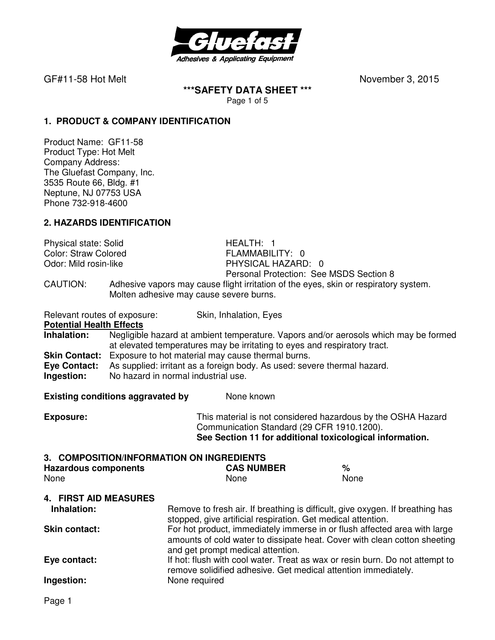

GF#11-58 Hot MeltNovember 3, 2015

### **\*\*\*SAFETY DATA SHEET \*\*\***  Page 1 of 5

**1. PRODUCT & COMPANY IDENTIFICATION**

Product Name: GF11-58 Product Type: Hot Melt Company Address: The Gluefast Company, Inc. 3535 Route 66, Bldg. #1 Neptune, NJ 07753 USA Phone 732-918-4600

## **2. HAZARDS IDENTIFICATION**

Physical state: Solid **HEALTH: 1**<br>
Color: Straw Colored **Health** FLAMMABILITY: 0 Color: Straw Colored<br>Odor: Mild rosin-like

PHYSICAL HAZARD: 0 Personal Protection: See MSDS Section 8

CAUTION: Adhesive vapors may cause flight irritation of the eyes, skin or respiratory system. Molten adhesive may cause severe burns.

Relevant routes of exposure: Skin, Inhalation, Eyes **Potential Health Effects Inhalation:** Negligible hazard at ambient temperature. Vapors and/or aerosols which may be formed at elevated temperatures may be irritating to eyes and respiratory tract. **Skin Contact:** Exposure to hot material may cause thermal burns. **Eye Contact:** As supplied: irritant as a foreign body. As used: severe thermal hazard. **Ingestion:** No hazard in normal industrial use.

**Existing conditions aggravated by Solve Representions and None known** 

**Exposure:** This material is not considered hazardous by the OSHA Hazard Communication Standard (29 CFR 1910.1200). **See Section 11 for additional toxicological information.** 

#### **3. COMPOSITION/INFORMATION ON INGREDIENTS**

| <b>Hazardous components</b> | <b>CAS NUMBER</b> | %    |
|-----------------------------|-------------------|------|
| None                        | None              | None |

#### **4. FIRST AID MEASURES**

| Inhalation:          | Remove to fresh air. If breathing is difficult, give oxygen. If breathing has<br>stopped, give artificial respiration. Get medical attention.                                               |
|----------------------|---------------------------------------------------------------------------------------------------------------------------------------------------------------------------------------------|
| <b>Skin contact:</b> | For hot product, immediately immerse in or flush affected area with large<br>amounts of cold water to dissipate heat. Cover with clean cotton sheeting<br>and get prompt medical attention. |
| Eye contact:         | If hot: flush with cool water. Treat as wax or resin burn. Do not attempt to<br>remove solidified adhesive. Get medical attention immediately.                                              |
| Ingestion:           | None required                                                                                                                                                                               |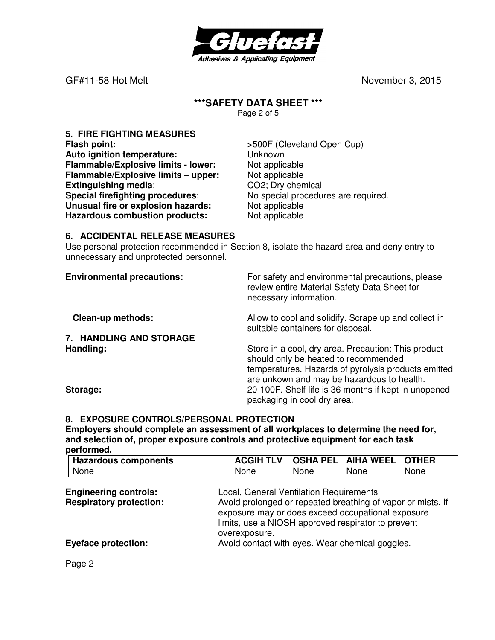

GF#11-58 Hot MeltNovember 3, 2015

# **\*\*\*SAFETY DATA SHEET \*\*\***

Page 2 of 5

**5. FIRE FIGHTING MEASURES Flash point:**  $>500F$  (Cleveland Open Cup) **Auto ignition temperature:** Unknown **Flammable/Explosive limits - lower:** Not applicable **Flammable/Explosive limits – upper:** Not applicable **Extinguishing media:** CO2; Dry chemical **Special firefighting procedures**: No special procedures are required. **Unusual fire or explosion hazards:** Not applicable<br> **Hazardous combustion products:** Not applicable **Hazardous combustion products:** 

## **6. ACCIDENTAL RELEASE MEASURES**

Use personal protection recommended in Section 8, isolate the hazard area and deny entry to unnecessary and unprotected personnel.

| <b>Environmental precautions:</b> | For safety and environmental precautions, please<br>review entire Material Safety Data Sheet for<br>necessary information.                                                                       |
|-----------------------------------|--------------------------------------------------------------------------------------------------------------------------------------------------------------------------------------------------|
| <b>Clean-up methods:</b>          | Allow to cool and solidify. Scrape up and collect in<br>suitable containers for disposal.                                                                                                        |
| 7. HANDLING AND STORAGE           |                                                                                                                                                                                                  |
| Handling:                         | Store in a cool, dry area. Precaution: This product<br>should only be heated to recommended<br>temperatures. Hazards of pyrolysis products emitted<br>are unkown and may be hazardous to health. |
| Storage:                          | 20-100F. Shelf life is 36 months if kept in unopened<br>packaging in cool dry area.                                                                                                              |

## **8. EXPOSURE CONTROLS/PERSONAL PROTECTION**

**Employers should complete an assessment of all workplaces to determine the need for, and selection of, proper exposure controls and protective equipment for each task performed.** 

| Hazardous components | <b>ACGIH TLV</b> |      | OSHA PEL   AIHA WEEL   OTHER |      |
|----------------------|------------------|------|------------------------------|------|
| None                 | None             | None | None                         | None |
|                      |                  |      |                              |      |

| <b>Engineering controls:</b>   | Local, General Ventilation Requirements                     |
|--------------------------------|-------------------------------------------------------------|
| <b>Respiratory protection:</b> | Avoid prolonged or repeated breathing of vapor or mists. If |
|                                | exposure may or does exceed occupational exposure           |
|                                | limits, use a NIOSH approved respirator to prevent          |
|                                | overexposure.                                               |
| <b>Eyeface protection:</b>     | Avoid contact with eyes. Wear chemical goggles.             |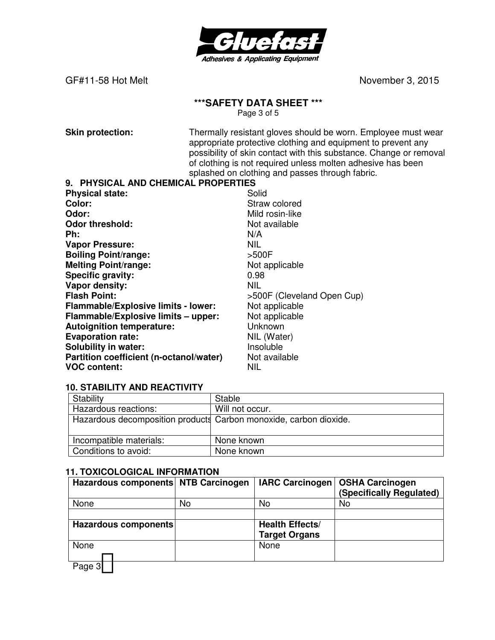

GF#11-58 Hot Melt
and Contact Contact Contact Contact Contact Contact Contact Contact Contact Contact Contact Contact Contact Contact Contact Contact Contact Contact Contact Contact Contact Contact Contact Contact Contact

# **\*\*\*SAFETY DATA SHEET \*\*\***

Page 3 of 5

**Skin protection:** Thermally resistant gloves should be worn. Employee must wear appropriate protective clothing and equipment to prevent any possibility of skin contact with this substance. Change or removal of clothing is not required unless molten adhesive has been splashed on clothing and passes through fabric.

#### **9. PHYSICAL AND CHEMICAL PROPERTIES**

| <b>Physical state:</b>                  | Solid                      |
|-----------------------------------------|----------------------------|
| Color:                                  | Straw colored              |
| Odor:                                   | Mild rosin-like            |
| <b>Odor threshold:</b>                  | Not available              |
| Ph:                                     | N/A                        |
| <b>Vapor Pressure:</b>                  | <b>NIL</b>                 |
| <b>Boiling Point/range:</b>             | >500F                      |
| <b>Melting Point/range:</b>             | Not applicable             |
| <b>Specific gravity:</b>                | 0.98                       |
| Vapor density:                          | <b>NIL</b>                 |
| <b>Flash Point:</b>                     | >500F (Cleveland Open Cup) |
| Flammable/Explosive limits - lower:     | Not applicable             |
| Flammable/Explosive limits - upper:     | Not applicable             |
| <b>Autoignition temperature:</b>        | Unknown                    |
| <b>Evaporation rate:</b>                | NIL (Water)                |
| <b>Solubility in water:</b>             | Insoluble                  |
| Partition coefficient (n-octanol/water) | Not available              |
| <b>VOC content:</b>                     | <b>NIL</b>                 |

#### **10. STABILITY AND REACTIVITY**

| Stability               | Stable                                                            |
|-------------------------|-------------------------------------------------------------------|
| Hazardous reactions:    | Will not occur.                                                   |
|                         | Hazardous decomposition products Carbon monoxide, carbon dioxide. |
|                         |                                                                   |
| Incompatible materials: | None known                                                        |
| Conditions to avoid:    | None known                                                        |

#### **11. TOXICOLOGICAL INFORMATION**

| Hazardous components NTB Carcinogen |    | <b>IARC Carcinogen</b> | <b>OSHA Carcinogen</b><br>(Specifically Regulated) |
|-------------------------------------|----|------------------------|----------------------------------------------------|
| None                                | No | No                     | No                                                 |
|                                     |    |                        |                                                    |
| Hazardous components                |    | <b>Health Effects/</b> |                                                    |
|                                     |    | <b>Target Organs</b>   |                                                    |
| None                                |    | None                   |                                                    |
|                                     |    |                        |                                                    |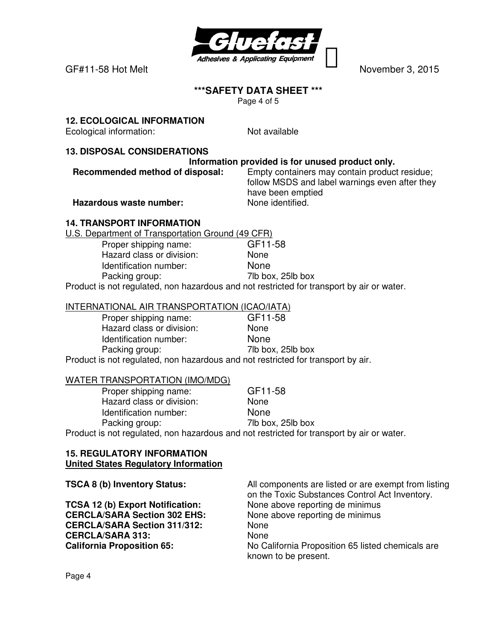

GF#11-58 Hot MeltNovember 3, 2015

## **\*\*\*SAFETY DATA SHEET \*\*\***

Page 4 of 5

## **12. ECOLOGICAL INFORMATION**

Ecological information: Not available

## **13. DISPOSAL CONSIDERATIONS**

## **Information provided is for unused product only.**

**Recommended method of disposal:** Empty containers may contain product residue; follow MSDS and label warnings even after they have been emptied

**Hazardous waste number:** None identified.

## **14. TRANSPORT INFORMATION**

U.S. Department of Transportation Ground (49 CFR)

Proper shipping name: GF11-58 Hazard class or division: None Identification number: None Packing group: 7lb box, 25lb box

Product is not regulated, non hazardous and not restricted for transport by air or water.

## INTERNATIONAL AIR TRANSPORTATION (ICAO/IATA)

| Proper shipping name:                                                            | GF11-58           |
|----------------------------------------------------------------------------------|-------------------|
| Hazard class or division:                                                        | <b>None</b>       |
| Identification number:                                                           | <b>None</b>       |
| Packing group:                                                                   | 7lb box, 25lb box |
| Product is not regulated, non hazardous and not restricted for transport by air. |                   |

#### WATER TRANSPORTATION (IMO/MDG)

| Proper shipping name:     | GF11-58                                                                                   |
|---------------------------|-------------------------------------------------------------------------------------------|
| Hazard class or division: | <b>None</b>                                                                               |
| Identification number:    | <b>None</b>                                                                               |
| Packing group:            | 7lb box, 25lb box                                                                         |
|                           | Product is not regulated, non hazardous and not restricted for transport by air or water. |

#### **15. REGULATORY INFORMATION United States Regulatory Information**

**TSCA 8 (b) Inventory Status:** All components are listed or are exempt from listing on the Toxic Substances Control Act Inventory. **TCSA 12 (b) Export Notification:** None above reporting de minimus **CERCLA/SARA Section 302 EHS:** None above reporting de minimus **CERCLA/SARA Section 311/312:** None **CERCLA/SARA 313:** None **California Proposition 65:** No California Proposition 65 listed chemicals are known to be present.